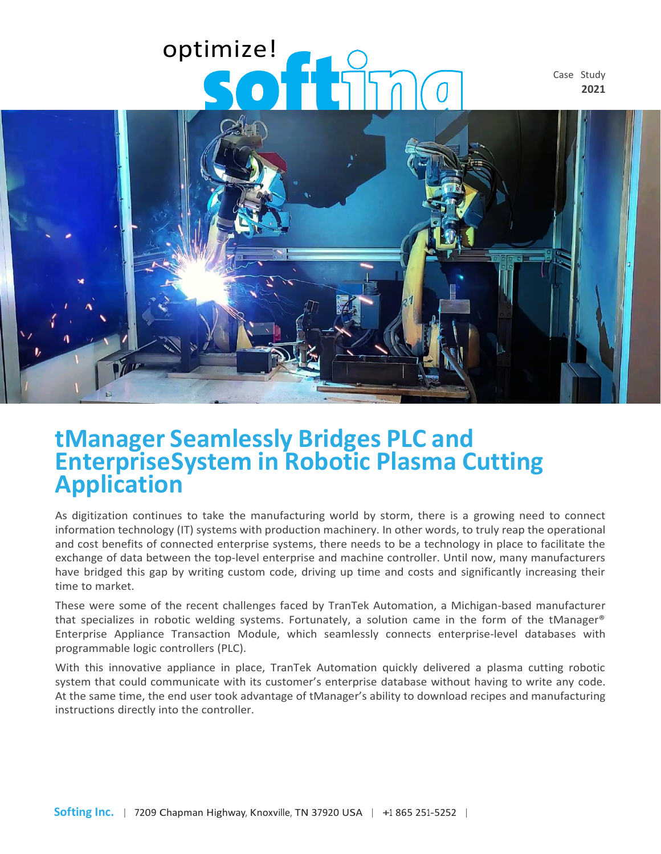# optimize!

Case Study **2021**



## **tManager Seamlessly Bridges PLC and EnterpriseSystem in Robotic Plasma Cutting Application**

As digitization continues to take the manufacturing world by storm, there is a growing need to connect information technology (IT) systems with production machinery. In other words, to truly reap the operational and cost benefits of connected enterprise systems, there needs to be a technology in place to facilitate the exchange of data between the top-level enterprise and machine controller. Until now, many manufacturers have bridged this gap by writing custom code, driving up time and costs and significantly increasing their time to market.

These were some of the recent challenges faced by TranTek Automation, a Michigan-based manufacturer that specializes in robotic welding systems. Fortunately, a solution came in the form of the tManager® Enterprise Appliance Transaction Module, which seamlessly connects enterprise-level databases with programmable logic controllers (PLC).

With this innovative appliance in place, TranTek Automation quickly delivered a plasma cutting robotic system that could communicate with its customer's enterprise database without having to write any code. At the same time, the end user took advantage of tManager's ability to download recipes and manufacturing instructions directly into the controller.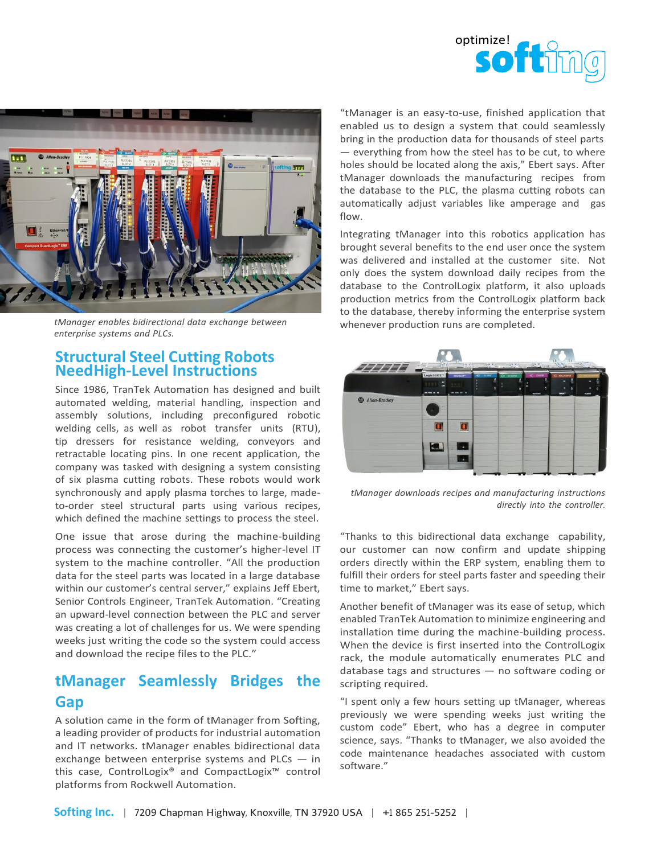



*tManager enables bidirectional data exchange between enterprise systems and PLCs.*

#### **Structural Steel Cutting Robots NeedHigh-Level Instructions**

Since 1986, TranTek Automation has designed and built automated welding, material handling, inspection and assembly solutions, including preconfigured robotic welding cells, as well as robot transfer units (RTU), tip dressers for resistance welding, conveyors and retractable locating pins. In one recent application, the company was tasked with designing a system consisting of six plasma cutting robots. These robots would work synchronously and apply plasma torches to large, madeto-order steel structural parts using various recipes, which defined the machine settings to process the steel.

One issue that arose during the machine-building process was connecting the customer's higher-level IT system to the machine controller. "All the production data for the steel parts was located in a large database within our customer's central server," explains Jeff Ebert, Senior Controls Engineer, TranTek Automation. "Creating an upward-level connection between the PLC and server was creating a lot of challenges for us. We were spending weeks just writing the code so the system could access and download the recipe files to the PLC."

### **tManager Seamlessly Bridges the Gap**

A solution came in the form of tManager from Softing, a leading provider of products for industrial automation and IT networks. tManager enables bidirectional data exchange between enterprise systems and PLCs — in this case, ControlLogix® and CompactLogix™ control platforms from Rockwell Automation.

"tManager is an easy-to-use, finished application that enabled us to design a system that could seamlessly bring in the production data for thousands of steel parts — everything from how the steel has to be cut, to where holes should be located along the axis," Ebert says. After tManager downloads the manufacturing recipes from the database to the PLC, the plasma cutting robots can automatically adjust variables like amperage and gas flow.

Integrating tManager into this robotics application has brought several benefits to the end user once the system was delivered and installed at the customer site. Not only does the system download daily recipes from the database to the ControlLogix platform, it also uploads production metrics from the ControlLogix platform back to the database, thereby informing the enterprise system whenever production runs are completed.



*tManager downloads recipes and manufacturing instructions directly into the controller.*

"Thanks to this bidirectional data exchange capability, our customer can now confirm and update shipping orders directly within the ERP system, enabling them to fulfill their orders for steel parts faster and speeding their time to market," Ebert says.

Another benefit of tManager was its ease of setup, which enabled TranTek Automation to minimize engineering and installation time during the machine-building process. When the device is first inserted into the ControlLogix rack, the module automatically enumerates PLC and database tags and structures — no software coding or scripting required.

"I spent only a few hours setting up tManager, whereas previously we were spending weeks just writing the custom code" Ebert, who has a degree in computer science, says. "Thanks to tManager, we also avoided the code maintenance headaches associated with custom software."